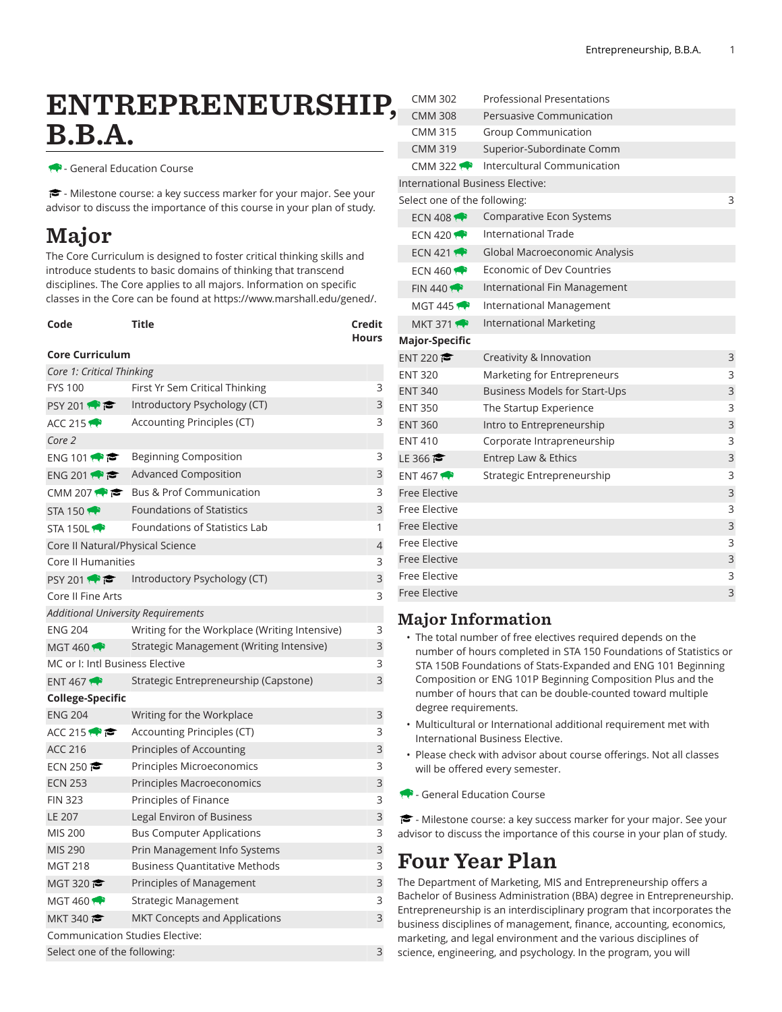## ENTREPRENEURSHIP, B.B.A.

**- General Education Course** 

- Milestone course: a key success marker for your major. See your advisor to discuss the importance of this course in your plan of study.

## Major

The Core Curriculum is designed to foster critical thinking skills and introduce students to basic domains of thinking that transcend disciplines. The Core applies to all majors. Information on specific classes in the Core can be found at [https://www.marshall.edu/gened/.](https://www.marshall.edu/gened/)

| Code<br><b>Core Curriculum</b> | Title                          | Credit<br><b>Hours</b> |
|--------------------------------|--------------------------------|------------------------|
| Core 1: Critical Thinking      |                                |                        |
| <b>FYS 100</b>                 | First Yr Sem Critical Thinking | ₹                      |

| <b>FYS 100</b>                      | First Yr Sem Critical Thinking                | 3              |
|-------------------------------------|-----------------------------------------------|----------------|
| PSY 201                             | Introductory Psychology (CT)                  | 3              |
| ACC 215                             | Accounting Principles (CT)                    |                |
| Core 2                              |                                               |                |
| ENG 101 $\bullet$ $\bullet$         | <b>Beginning Composition</b>                  | 3              |
| ENG 201                             | <b>Advanced Composition</b>                   | 3              |
| CMM 207 $\leftrightarrow$ $\bullet$ | <b>Bus &amp; Prof Communication</b>           | 3              |
| <b>STA 150 17</b>                   | <b>Foundations of Statistics</b>              | 3              |
| STA 150L                            | Foundations of Statistics Lab                 | 1              |
| Core II Natural/Physical Science    |                                               | $\overline{4}$ |
| Core II Humanities                  |                                               | 3              |
| <b>PSY 2011</b>                     | Introductory Psychology (CT)                  | 3              |
| Core II Fine Arts                   |                                               | 3              |
|                                     | <b>Additional University Requirements</b>     |                |
| <b>ENG 204</b>                      | Writing for the Workplace (Writing Intensive) | 3              |
| MGT 460                             | Strategic Management (Writing Intensive)      | 3              |
| MC or I: Intl Business Elective     |                                               | 3              |
| ENT 467 $\bullet$                   | Strategic Entrepreneurship (Capstone)         | 3              |
| <b>College-Specific</b>             |                                               |                |
| <b>ENG 204</b>                      | Writing for the Workplace                     | 3              |
| ACC 215                             | Accounting Principles (CT)                    | 3              |
| <b>ACC 216</b>                      | Principles of Accounting                      | 3              |
| ECN 250                             | Principles Microeconomics                     | 3              |
| <b>ECN 253</b>                      | Principles Macroeconomics                     | 3              |
| <b>FIN 323</b>                      | Principles of Finance                         | 3              |
| LE 207                              | Legal Environ of Business                     | 3              |
| <b>MIS 200</b>                      | <b>Bus Computer Applications</b>              | 3              |
| MIS 290                             | Prin Management Info Systems                  | 3              |
| <b>MGT 218</b>                      | <b>Business Quantitative Methods</b>          | 3              |
| MGT 320 $\approx$                   | Principles of Management                      | 3              |
| MGT 460 $\leftrightarrow$           | Strategic Management                          | 3              |
| MKT 340                             | <b>MKT Concepts and Applications</b>          | 3              |
|                                     | <b>Communication Studies Elective:</b>        |                |
| Select one of the following:        |                                               | 3              |

| <b>CMM 302</b>                   | <b>Professional Presentations</b> |   |
|----------------------------------|-----------------------------------|---|
| <b>CMM 308</b>                   | Persuasive Communication          |   |
| <b>CMM 315</b>                   | Group Communication               |   |
| <b>CMM 319</b>                   | Superior-Subordinate Comm         |   |
| CMM 322                          | Intercultural Communication       |   |
| International Business Elective: |                                   |   |
| Select one of the following:     |                                   | 3 |
| ECN 408 $\leftrightarrow$        | Comparative Econ Systems          |   |
| ECN 420 $\bullet$                | <b>International Trade</b>        |   |
| ECN 421                          | Global Macroeconomic Analysis     |   |
| ECN 460 $\rightarrow$            | Economic of Dev Countries         |   |
| FIN 440                          | International Fin Management      |   |
| MGT 445 $\leftrightarrow$        | International Management          |   |
| <b>MKT 371</b>                   | <b>International Marketing</b>    |   |
| <b>Major-Specific</b>            |                                   |   |
| ENT 220                          | Creativity & Innovation           | 3 |
| <b>ENT 320</b>                   | Marketing for Entrepreneurs       | 3 |
| <b>ENT 340</b>                   | Business Models for Start-Ups     | 3 |
| <b>ENT 350</b>                   | The Startup Experience            | 3 |
| <b>ENT 360</b>                   | Intro to Entrepreneurship         | 3 |
| <b>ENT 410</b>                   | Corporate Intrapreneurship        | 3 |
| LE 366 $\approx$                 | Entrep Law & Ethics               | 3 |
| ENT 467 $\bullet$                | Strategic Entrepreneurship        | 3 |
| <b>Free Elective</b>             |                                   | 3 |
| Free Elective                    |                                   | 3 |
| <b>Free Elective</b>             |                                   | 3 |
| Free Elective                    |                                   | 3 |
| <b>Free Elective</b>             |                                   | 3 |
| <b>Free Elective</b>             |                                   | 3 |
| <b>Free Elective</b>             |                                   | 3 |

## Major Information

- The total number of free electives required depends on the number of hours completed in STA 150 Foundations of Statistics or STA 150B Foundations of Stats-Expanded and ENG 101 Beginning Composition or ENG 101P Beginning Composition Plus and the number of hours that can be double-counted toward multiple degree requirements.
- Multicultural or International additional requirement met with International Business Elective.
- Please check with advisor about course offerings. Not all classes will be offered every semester.
- General Education Course

 $\blacktriangleright$  - Milestone course: a key success marker for your major. See your advisor to discuss the importance of this course in your plan of study.

## Four Year Plan

The Department of Marketing, MIS and Entrepreneurship offers a Bachelor of Business Administration (BBA) degree in Entrepreneurship. Entrepreneurship is an interdisciplinary program that incorporates the business disciplines of management, finance, accounting, economics, marketing, and legal environment and the various disciplines of science, engineering, and psychology. In the program, you will